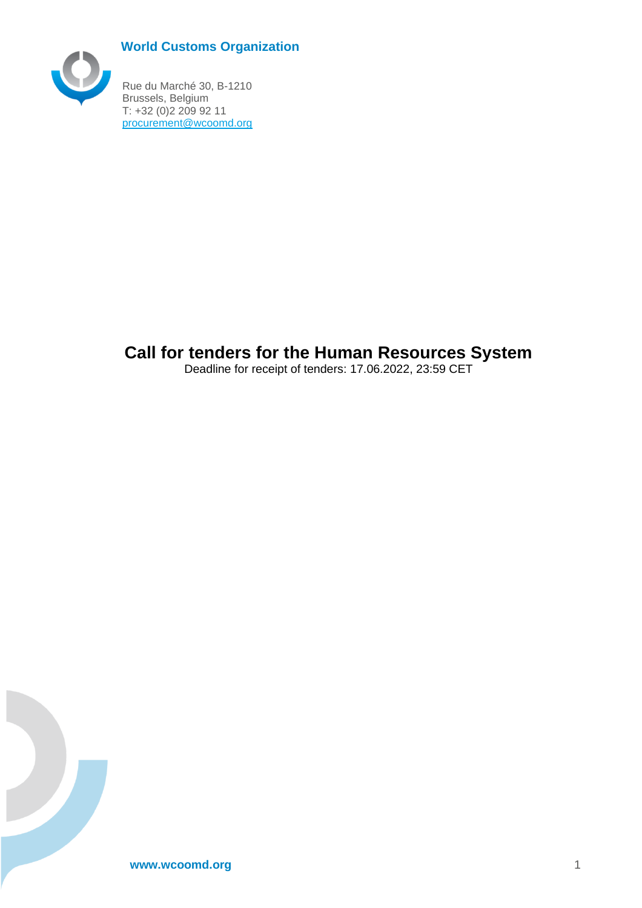# **World Customs Organization**



<span id="page-0-0"></span>Rue du Marché 30, B-1210 Brussels, Belgium T: +32 (0)2 209 92 11 [procurement@wcoomd.org](mailto:procurement@wcoomd.org)

# **Call for tenders for the Human Resources System**

Deadline for receipt of tenders: 17.06.2022, 23:59 CET

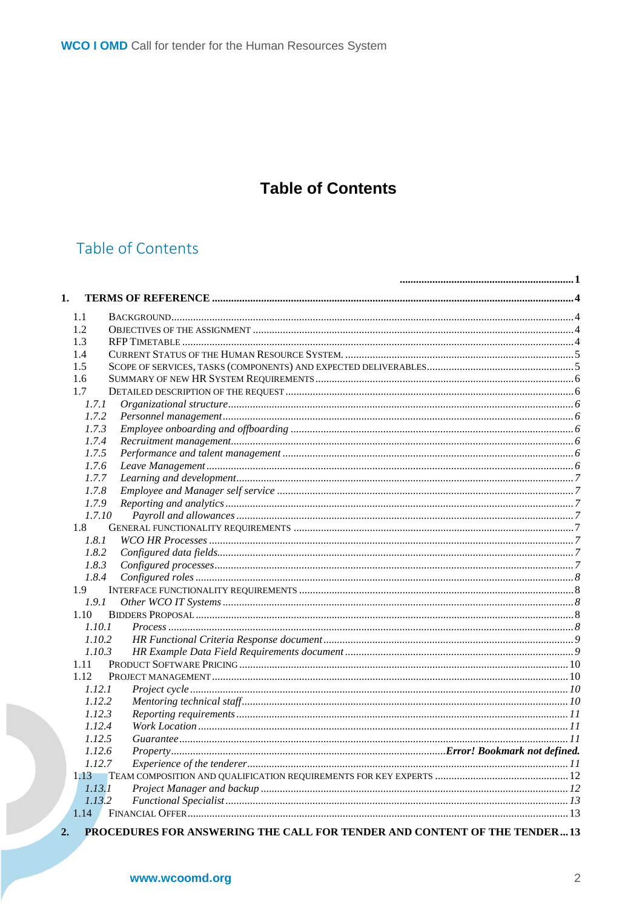# **Table of Contents**

# Table of Contents

| 1.     |  |
|--------|--|
| 1.1    |  |
| 1.2    |  |
| 1.3    |  |
| 1.4    |  |
| 1.5    |  |
| 1.6    |  |
| 1.7    |  |
| 1.7.1  |  |
| 1.7.2  |  |
| 1.7.3  |  |
| 1.7.4  |  |
| 1.7.5  |  |
| 1.7.6  |  |
| 1.7.7  |  |
| 1.7.8  |  |
| 1.7.9  |  |
| 1.7.10 |  |
| 1.8    |  |
| 1.8.1  |  |
| 1.8.2  |  |
| 1.8.3  |  |
| 1.8.4  |  |
| 1.9    |  |
| 1.9.1  |  |
| 1.10   |  |
| 1.10.1 |  |
| 1.10.2 |  |
| 1.10.3 |  |
| 1.11   |  |
| 1.12   |  |
| 1.12.1 |  |
| 1.12.2 |  |
| 1.12.3 |  |
| 1.12.4 |  |
| 1.12.5 |  |
| 1.12.6 |  |
| 1.12.7 |  |
| 1.13   |  |
| 1.13.1 |  |
| 1.13.2 |  |
| 1.14   |  |

www.wcoomd.org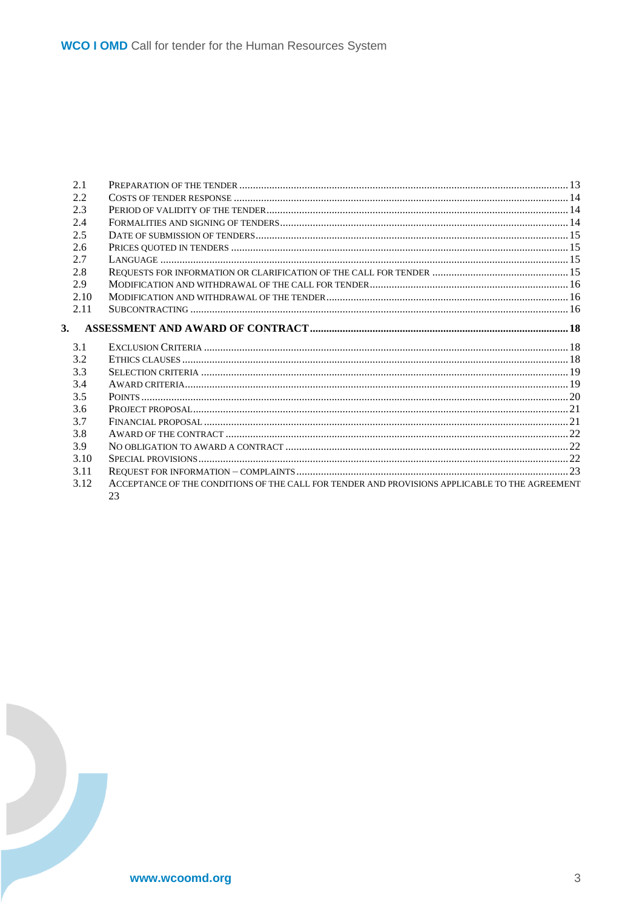| 2.1  |                                                                                                      |  |
|------|------------------------------------------------------------------------------------------------------|--|
| 2.2  |                                                                                                      |  |
| 2.3  |                                                                                                      |  |
| 2.4  |                                                                                                      |  |
| 2.5  |                                                                                                      |  |
| 2.6  |                                                                                                      |  |
| 2.7  |                                                                                                      |  |
| 2.8  |                                                                                                      |  |
| 2.9  |                                                                                                      |  |
| 2.10 |                                                                                                      |  |
| 2.11 |                                                                                                      |  |
| 3.   |                                                                                                      |  |
| 3.1  |                                                                                                      |  |
| 3.2  |                                                                                                      |  |
| 3.3  |                                                                                                      |  |
| 3.4  |                                                                                                      |  |
| 3.5  |                                                                                                      |  |
| 3.6  |                                                                                                      |  |
| 3.7  |                                                                                                      |  |
| 3.8  |                                                                                                      |  |
| 3.9  |                                                                                                      |  |
| 3.10 |                                                                                                      |  |
| 3.11 |                                                                                                      |  |
| 3.12 | ACCEPTANCE OF THE CONDITIONS OF THE CALL FOR TENDER AND PROVISIONS APPLICABLE TO THE AGREEMENT<br>23 |  |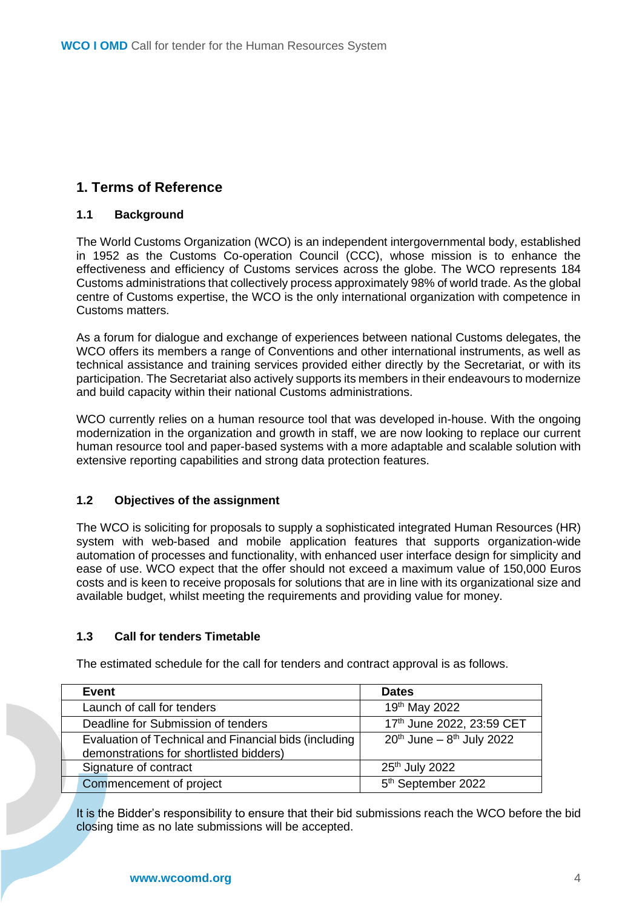## <span id="page-3-0"></span>**1. Terms of Reference**

## <span id="page-3-1"></span>**1.1 Background**

The World Customs Organization (WCO) is an independent intergovernmental body, established in 1952 as the Customs Co-operation Council (CCC), whose mission is to enhance the effectiveness and efficiency of Customs services across the globe. The WCO represents 184 Customs administrations that collectively process approximately 98% of world trade. As the global centre of Customs expertise, the WCO is the only international organization with competence in Customs matters.

As a forum for dialogue and exchange of experiences between national Customs delegates, the WCO offers its members a range of Conventions and other international instruments, as well as technical assistance and training services provided either directly by the Secretariat, or with its participation. The Secretariat also actively supports its members in their endeavours to modernize and build capacity within their national Customs administrations.

WCO currently relies on a human resource tool that was developed in-house. With the ongoing modernization in the organization and growth in staff, we are now looking to replace our current human resource tool and paper-based systems with a more adaptable and scalable solution with extensive reporting capabilities and strong data protection features.

## <span id="page-3-2"></span>**1.2 Objectives of the assignment**

The WCO is soliciting for proposals to supply a sophisticated integrated Human Resources (HR) system with web-based and mobile application features that supports organization-wide automation of processes and functionality, with enhanced user interface design for simplicity and ease of use. WCO expect that the offer should not exceed a maximum value of 150,000 Euros costs and is keen to receive proposals for solutions that are in line with its organizational size and available budget, whilst meeting the requirements and providing value for money.

## <span id="page-3-3"></span>**1.3 Call for tenders Timetable**

| Event                                                                                            | <b>Dates</b>                        |
|--------------------------------------------------------------------------------------------------|-------------------------------------|
| Launch of call for tenders                                                                       | 19th May 2022                       |
| Deadline for Submission of tenders                                                               | 17th June 2022, 23:59 CET           |
| Evaluation of Technical and Financial bids (including<br>demonstrations for shortlisted bidders) | $20^{th}$ June – $8^{th}$ July 2022 |
| Signature of contract                                                                            | 25 <sup>th</sup> July 2022          |
| Commencement of project                                                                          | 5 <sup>th</sup> September 2022      |

The estimated schedule for the call for tenders and contract approval is as follows.

It is the Bidder's responsibility to ensure that their bid submissions reach the WCO before the bid closing time as no late submissions will be accepted.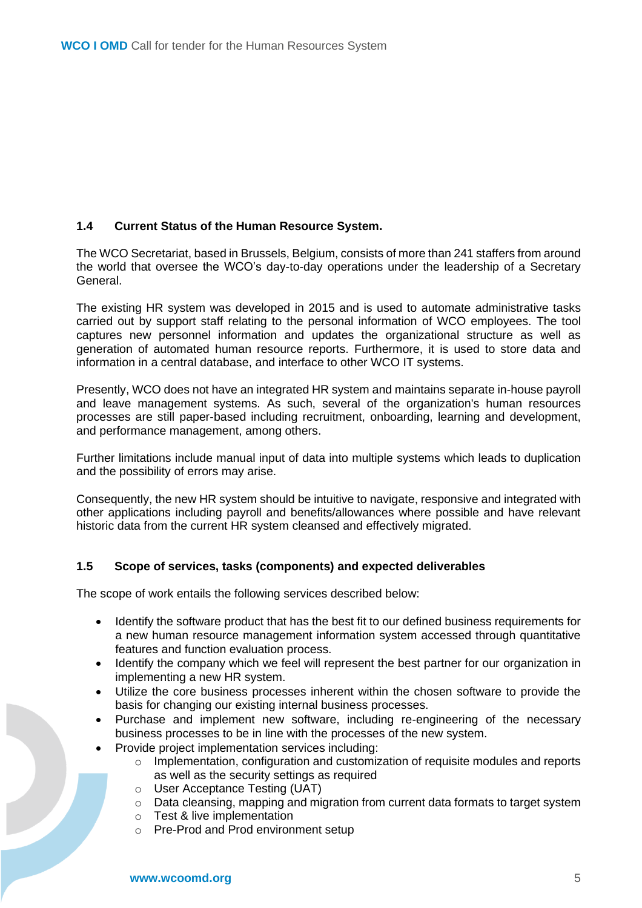## <span id="page-4-0"></span>**1.4 Current Status of the Human Resource System.**

The WCO Secretariat, based in Brussels, Belgium, consists of more than 241 staffers from around the world that oversee the WCO's day-to-day operations under the leadership of a Secretary General.

The existing HR system was developed in 2015 and is used to automate administrative tasks carried out by support staff relating to the personal information of WCO employees. The tool captures new personnel information and updates the organizational structure as well as generation of automated human resource reports. Furthermore, it is used to store data and information in a central database, and interface to other WCO IT systems.

Presently, WCO does not have an integrated HR system and maintains separate in-house payroll and leave management systems. As such, several of the organization's human resources processes are still paper-based including recruitment, onboarding, learning and development, and performance management, among others.

Further limitations include manual input of data into multiple systems which leads to duplication and the possibility of errors may arise.

Consequently, the new HR system should be intuitive to navigate, responsive and integrated with other applications including payroll and benefits/allowances where possible and have relevant historic data from the current HR system cleansed and effectively migrated.

## <span id="page-4-1"></span>**1.5 Scope of services, tasks (components) and expected deliverables**

The scope of work entails the following services described below:

- Identify the software product that has the best fit to our defined business requirements for a new human resource management information system accessed through quantitative features and function evaluation process.
- Identify the company which we feel will represent the best partner for our organization in implementing a new HR system.
- Utilize the core business processes inherent within the chosen software to provide the basis for changing our existing internal business processes.
- Purchase and implement new software, including re-engineering of the necessary business processes to be in line with the processes of the new system.
- Provide project implementation services including:
	- o Implementation, configuration and customization of requisite modules and reports as well as the security settings as required
	- o User Acceptance Testing (UAT)
	- $\circ$  Data cleansing, mapping and migration from current data formats to target system
	- o Test & live implementation
	- o Pre-Prod and Prod environment setup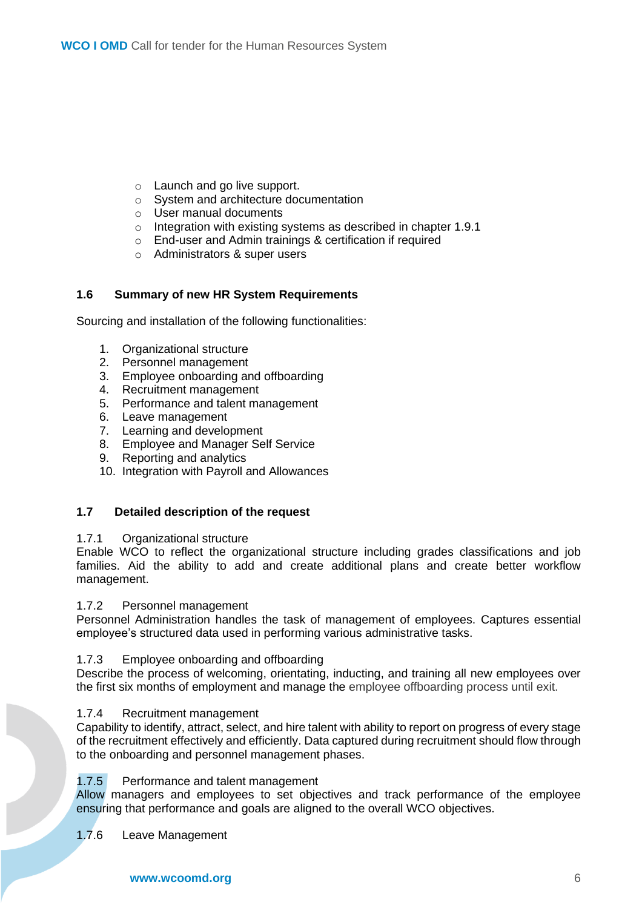- o Launch and go live support.
- o System and architecture documentation
- o User manual documents
- o Integration with existing systems as described in chapter 1.9.1
- o End-user and Admin trainings & certification if required
- o Administrators & super users

## <span id="page-5-0"></span>**1.6 Summary of new HR System Requirements**

Sourcing and installation of the following functionalities:

- 1. Organizational structure
- 2. Personnel management
- 3. Employee onboarding and offboarding
- 4. Recruitment management
- 5. Performance and talent management
- 6. Leave management
- 7. Learning and development
- 8. Employee and Manager Self Service
- 9. Reporting and analytics
- 10. Integration with Payroll and Allowances

#### <span id="page-5-2"></span><span id="page-5-1"></span>**1.7 Detailed description of the request**

#### 1.7.1 Organizational structure

Enable WCO to reflect the organizational structure including grades classifications and job families. Aid the ability to add and create additional plans and create better workflow management.

#### <span id="page-5-3"></span>1.7.2 Personnel management

Personnel Administration handles the task of management of employees. Captures essential employee's structured data used in performing various administrative tasks.

#### <span id="page-5-4"></span>1.7.3 Employee onboarding and offboarding

Describe the process of welcoming, orientating, inducting, and training all new employees over the first six months of employment and manage the employee offboarding process until exit.

#### <span id="page-5-5"></span>1.7.4 Recruitment management

Capability to identify, attract, select, and hire talent with ability to report on progress of every stage of the recruitment effectively and efficiently. Data captured during recruitment should flow through to the onboarding and personnel management phases.

## <span id="page-5-6"></span>1.7.5 Performance and talent management

Allow managers and employees to set objectives and track performance of the employee ensuring that performance and goals are aligned to the overall WCO objectives.

## <span id="page-5-7"></span>1.7.6 Leave Management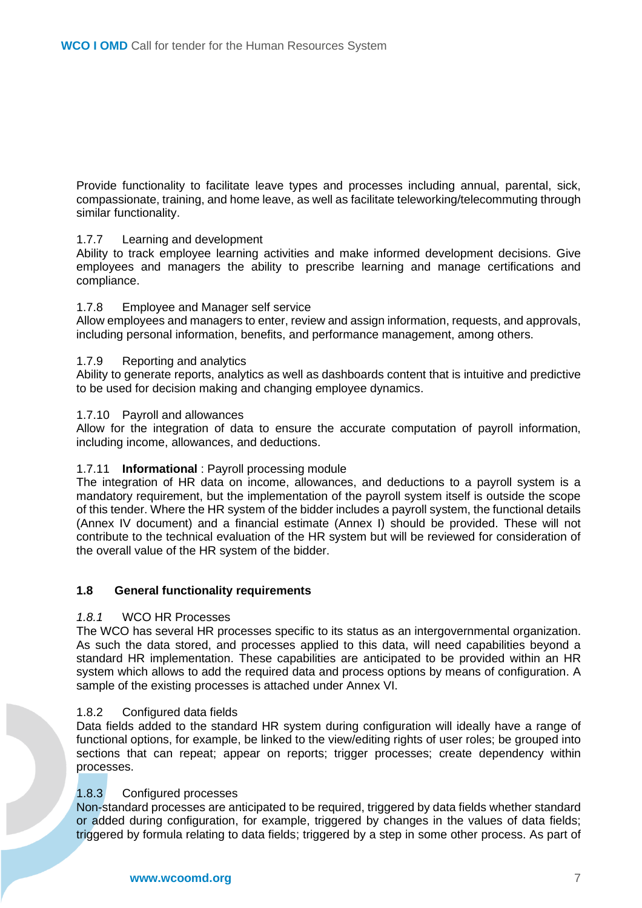Provide functionality to facilitate leave types and processes including annual, parental, sick, compassionate, training, and home leave, as well as facilitate teleworking/telecommuting through similar functionality.

#### <span id="page-6-0"></span>1.7.7 Learning and development

Ability to track employee learning activities and make informed development decisions. Give employees and managers the ability to prescribe learning and manage certifications and compliance.

#### <span id="page-6-1"></span>1.7.8 Employee and Manager self service

Allow employees and managers to enter, review and assign information, requests, and approvals, including personal information, benefits, and performance management, among others.

#### <span id="page-6-2"></span>1.7.9 Reporting and analytics

Ability to generate reports, analytics as well as dashboards content that is intuitive and predictive to be used for decision making and changing employee dynamics.

#### <span id="page-6-3"></span>1.7.10 Payroll and allowances

Allow for the integration of data to ensure the accurate computation of payroll information, including income, allowances, and deductions.

## 1.7.11 **Informational** : Payroll processing module

The integration of HR data on income, allowances, and deductions to a payroll system is a mandatory requirement, but the implementation of the payroll system itself is outside the scope of this tender. Where the HR system of the bidder includes a payroll system, the functional details (Annex IV document) and a financial estimate (Annex I) should be provided. These will not contribute to the technical evaluation of the HR system but will be reviewed for consideration of the overall value of the HR system of the bidder.

#### <span id="page-6-5"></span><span id="page-6-4"></span>**1.8 General functionality requirements**

#### *1.8.1* WCO HR Processes

The WCO has several HR processes specific to its status as an intergovernmental organization. As such the data stored, and processes applied to this data, will need capabilities beyond a standard HR implementation. These capabilities are anticipated to be provided within an HR system which allows to add the required data and process options by means of configuration. A sample of the existing processes is attached under Annex VI.

#### <span id="page-6-6"></span>1.8.2 Configured data fields

Data fields added to the standard HR system during configuration will ideally have a range of functional options, for example, be linked to the view/editing rights of user roles; be grouped into sections that can repeat; appear on reports; trigger processes; create dependency within processes.

## <span id="page-6-7"></span>1.8.3 Configured processes

Non-standard processes are anticipated to be required, triggered by data fields whether standard or added during configuration, for example, triggered by changes in the values of data fields; triggered by formula relating to data fields; triggered by a step in some other process. As part of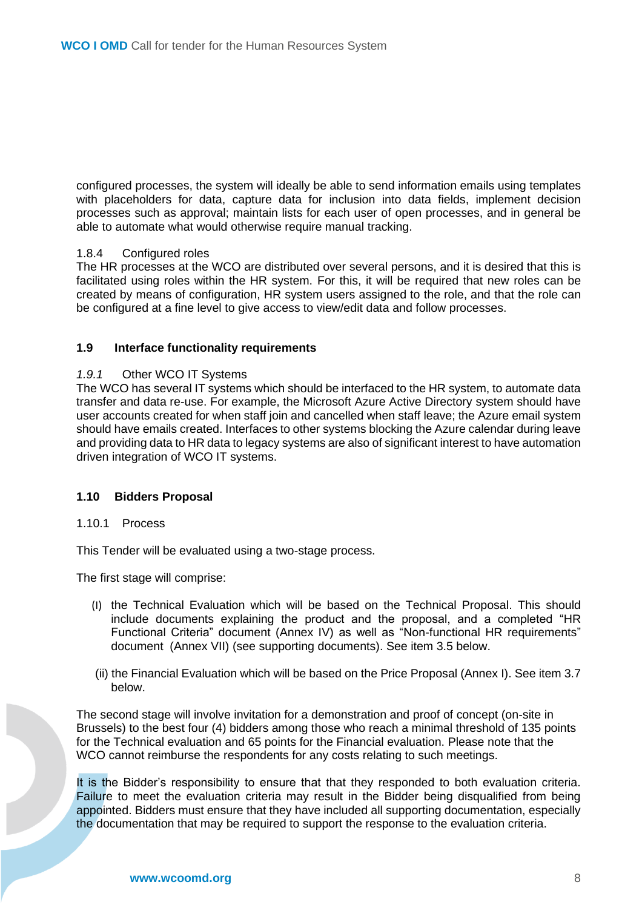configured processes, the system will ideally be able to send information emails using templates with placeholders for data, capture data for inclusion into data fields, implement decision processes such as approval; maintain lists for each user of open processes, and in general be able to automate what would otherwise require manual tracking.

#### <span id="page-7-0"></span>1.8.4 Configured roles

The HR processes at the WCO are distributed over several persons, and it is desired that this is facilitated using roles within the HR system. For this, it will be required that new roles can be created by means of configuration, HR system users assigned to the role, and that the role can be configured at a fine level to give access to view/edit data and follow processes.

#### <span id="page-7-2"></span><span id="page-7-1"></span>**1.9 Interface functionality requirements**

#### *1.9.1* Other WCO IT Systems

The WCO has several IT systems which should be interfaced to the HR system, to automate data transfer and data re-use. For example, the Microsoft Azure Active Directory system should have user accounts created for when staff join and cancelled when staff leave; the Azure email system should have emails created. Interfaces to other systems blocking the Azure calendar during leave and providing data to HR data to legacy systems are also of significant interest to have automation driven integration of WCO IT systems.

#### <span id="page-7-3"></span>**1.10 Bidders Proposal**

#### <span id="page-7-4"></span>1.10.1 Process

This Tender will be evaluated using a two-stage process.

The first stage will comprise:

- (I) the Technical Evaluation which will be based on the Technical Proposal. This should include documents explaining the product and the proposal, and a completed "HR Functional Criteria" document (Annex IV) as well as "Non-functional HR requirements" document (Annex VII) (see supporting documents). See item 3.5 below.
- (ii) the Financial Evaluation which will be based on the Price Proposal (Annex I). See item 3.7 below.

The second stage will involve invitation for a demonstration and proof of concept (on-site in Brussels) to the best four (4) bidders among those who reach a minimal threshold of 135 points for the Technical evaluation and 65 points for the Financial evaluation. Please note that the WCO cannot reimburse the respondents for any costs relating to such meetings.

It is the Bidder's responsibility to ensure that that they responded to both evaluation criteria. Failure to meet the evaluation criteria may result in the Bidder being disqualified from being appointed. Bidders must ensure that they have included all supporting documentation, especially the documentation that may be required to support the response to the evaluation criteria.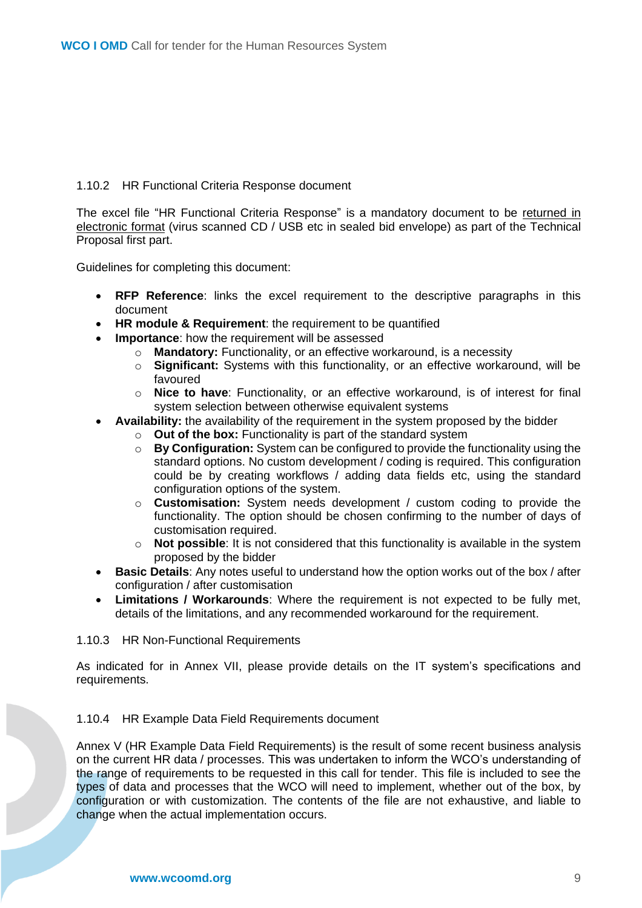### <span id="page-8-0"></span>1.10.2 HR Functional Criteria Response document

The excel file "HR Functional Criteria Response" is a mandatory document to be returned in electronic format (virus scanned CD / USB etc in sealed bid envelope) as part of the Technical Proposal first part.

Guidelines for completing this document:

- **RFP Reference**: links the excel requirement to the descriptive paragraphs in this document
- **HR module & Requirement**: the requirement to be quantified
- **Importance**: how the requirement will be assessed
	- o **Mandatory:** Functionality, or an effective workaround, is a necessity
		- o **Significant:** Systems with this functionality, or an effective workaround, will be favoured
		- o **Nice to have**: Functionality, or an effective workaround, is of interest for final system selection between otherwise equivalent systems
- **Availability:** the availability of the requirement in the system proposed by the bidder
	- o **Out of the box:** Functionality is part of the standard system o **By Configuration:** System can be configured to provide the f
	- By Configuration: System can be configured to provide the functionality using the standard options. No custom development / coding is required. This configuration could be by creating workflows / adding data fields etc, using the standard configuration options of the system.
	- o **Customisation:** System needs development / custom coding to provide the functionality. The option should be chosen confirming to the number of days of customisation required.
	- o **Not possible**: It is not considered that this functionality is available in the system proposed by the bidder
- **Basic Details**: Any notes useful to understand how the option works out of the box / after configuration / after customisation
- **Limitations / Workarounds**: Where the requirement is not expected to be fully met, details of the limitations, and any recommended workaround for the requirement.

#### <span id="page-8-1"></span>1.10.3 HR Non-Functional Requirements

As indicated for in Annex VII, please provide details on the IT system's specifications and requirements.

#### 1.10.4 HR Example Data Field Requirements document

Annex V (HR Example Data Field Requirements) is the result of some recent business analysis on the current HR data / processes. This was undertaken to inform the WCO's understanding of the range of requirements to be requested in this call for tender. This file is included to see the types of data and processes that the WCO will need to implement, whether out of the box, by configuration or with customization. The contents of the file are not exhaustive, and liable to change when the actual implementation occurs.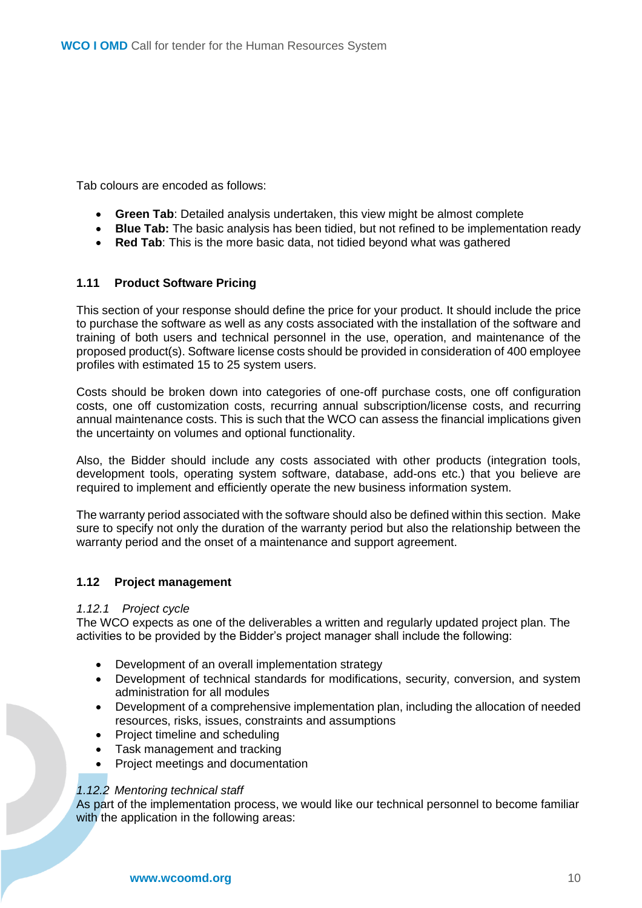Tab colours are encoded as follows:

- **Green Tab**: Detailed analysis undertaken, this view might be almost complete
- **Blue Tab:** The basic analysis has been tidied, but not refined to be implementation ready
- **Red Tab**: This is the more basic data, not tidied beyond what was gathered

#### <span id="page-9-0"></span>**1.11 Product Software Pricing**

This section of your response should define the price for your product. It should include the price to purchase the software as well as any costs associated with the installation of the software and training of both users and technical personnel in the use, operation, and maintenance of the proposed product(s). Software license costs should be provided in consideration of 400 employee profiles with estimated 15 to 25 system users.

Costs should be broken down into categories of one-off purchase costs, one off configuration costs, one off customization costs, recurring annual subscription/license costs, and recurring annual maintenance costs. This is such that the WCO can assess the financial implications given the uncertainty on volumes and optional functionality.

Also, the Bidder should include any costs associated with other products (integration tools, development tools, operating system software, database, add-ons etc.) that you believe are required to implement and efficiently operate the new business information system.

The warranty period associated with the software should also be defined within this section. Make sure to specify not only the duration of the warranty period but also the relationship between the warranty period and the onset of a maintenance and support agreement.

#### <span id="page-9-2"></span><span id="page-9-1"></span>**1.12 Project management**

#### *1.12.1 Project cycle*

The WCO expects as one of the deliverables a written and regularly updated project plan. The activities to be provided by the Bidder's project manager shall include the following:

- Development of an overall implementation strategy
- Development of technical standards for modifications, security, conversion, and system administration for all modules
- Development of a comprehensive implementation plan, including the allocation of needed resources, risks, issues, constraints and assumptions
- Project timeline and scheduling
- Task management and tracking
- Project meetings and documentation

#### <span id="page-9-3"></span>*1.12.2 Mentoring technical staff*

As part of the implementation process, we would like our technical personnel to become familiar with the application in the following areas: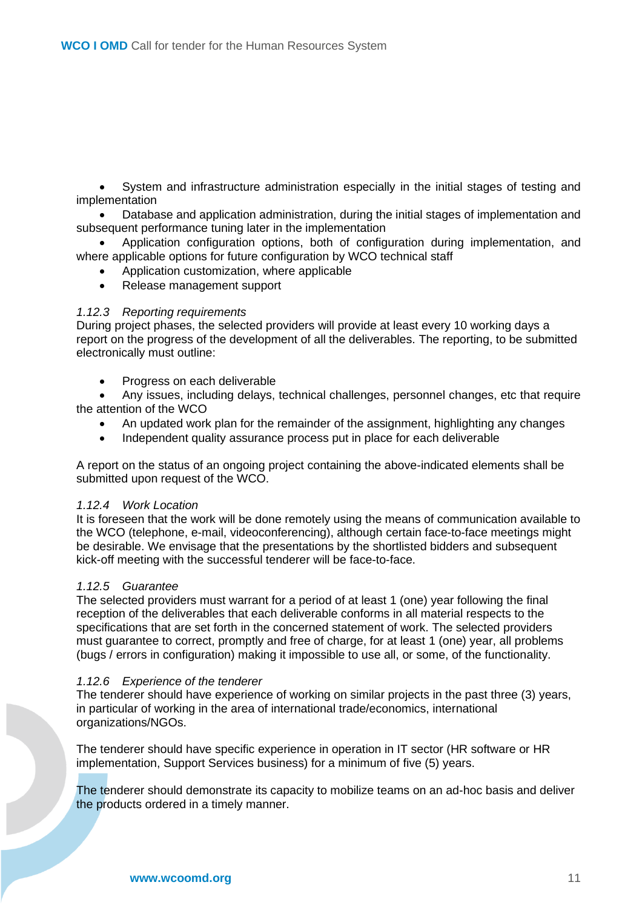• System and infrastructure administration especially in the initial stages of testing and implementation

• Database and application administration, during the initial stages of implementation and subsequent performance tuning later in the implementation

• Application configuration options, both of configuration during implementation, and where applicable options for future configuration by WCO technical staff

- Application customization, where applicable
- Release management support

#### <span id="page-10-0"></span>*1.12.3 Reporting requirements*

During project phases, the selected providers will provide at least every 10 working days a report on the progress of the development of all the deliverables. The reporting, to be submitted electronically must outline:

• Progress on each deliverable

• Any issues, including delays, technical challenges, personnel changes, etc that require the attention of the WCO

- An updated work plan for the remainder of the assignment, highlighting any changes
- Independent quality assurance process put in place for each deliverable

A report on the status of an ongoing project containing the above-indicated elements shall be submitted upon request of the WCO.

#### <span id="page-10-1"></span>*1.12.4 Work Location*

It is foreseen that the work will be done remotely using the means of communication available to the WCO (telephone, e-mail, videoconferencing), although certain face-to-face meetings might be desirable. We envisage that the presentations by the shortlisted bidders and subsequent kick-off meeting with the successful tenderer will be face-to-face.

#### <span id="page-10-2"></span>*1.12.5 Guarantee*

The selected providers must warrant for a period of at least 1 (one) year following the final reception of the deliverables that each deliverable conforms in all material respects to the specifications that are set forth in the concerned statement of work. The selected providers must guarantee to correct, promptly and free of charge, for at least 1 (one) year, all problems (bugs / errors in configuration) making it impossible to use all, or some, of the functionality.

#### <span id="page-10-3"></span>*1.12.6 Experience of the tenderer*

The tenderer should have experience of working on similar projects in the past three (3) years, in particular of working in the area of international trade/economics, international organizations/NGOs.

The tenderer should have specific experience in operation in IT sector (HR software or HR implementation, Support Services business) for a minimum of five (5) years.

The tenderer should demonstrate its capacity to mobilize teams on an ad-hoc basis and deliver the products ordered in a timely manner.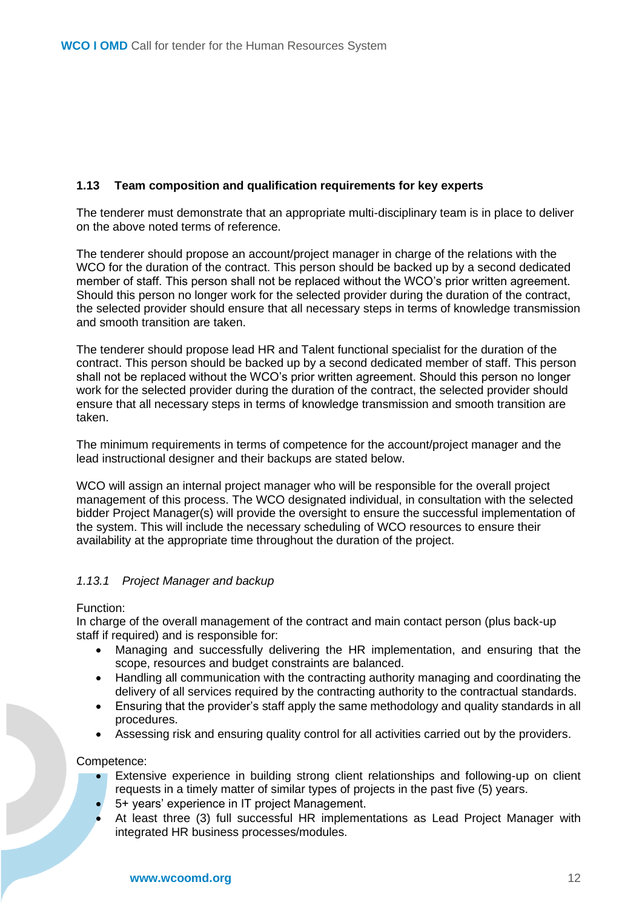## <span id="page-11-0"></span>**1.13 Team composition and qualification requirements for key experts**

The tenderer must demonstrate that an appropriate multi-disciplinary team is in place to deliver on the above noted terms of reference.

The tenderer should propose an account/project manager in charge of the relations with the WCO for the duration of the contract. This person should be backed up by a second dedicated member of staff. This person shall not be replaced without the WCO's prior written agreement. Should this person no longer work for the selected provider during the duration of the contract, the selected provider should ensure that all necessary steps in terms of knowledge transmission and smooth transition are taken.

The tenderer should propose lead HR and Talent functional specialist for the duration of the contract. This person should be backed up by a second dedicated member of staff. This person shall not be replaced without the WCO's prior written agreement. Should this person no longer work for the selected provider during the duration of the contract, the selected provider should ensure that all necessary steps in terms of knowledge transmission and smooth transition are taken.

The minimum requirements in terms of competence for the account/project manager and the lead instructional designer and their backups are stated below.

WCO will assign an internal project manager who will be responsible for the overall project management of this process. The WCO designated individual, in consultation with the selected bidder Project Manager(s) will provide the oversight to ensure the successful implementation of the system. This will include the necessary scheduling of WCO resources to ensure their availability at the appropriate time throughout the duration of the project.

## <span id="page-11-1"></span>*1.13.1 Project Manager and backup*

#### Function:

In charge of the overall management of the contract and main contact person (plus back-up staff if required) and is responsible for:

- Managing and successfully delivering the HR implementation, and ensuring that the scope, resources and budget constraints are balanced.
- Handling all communication with the contracting authority managing and coordinating the delivery of all services required by the contracting authority to the contractual standards.
- Ensuring that the provider's staff apply the same methodology and quality standards in all procedures.
- Assessing risk and ensuring quality control for all activities carried out by the providers.

Competence:

- Extensive experience in building strong client relationships and following-up on client requests in a timely matter of similar types of projects in the past five (5) years.
- 5+ years' experience in IT project Management.
- At least three (3) full successful HR implementations as Lead Project Manager with integrated HR business processes/modules.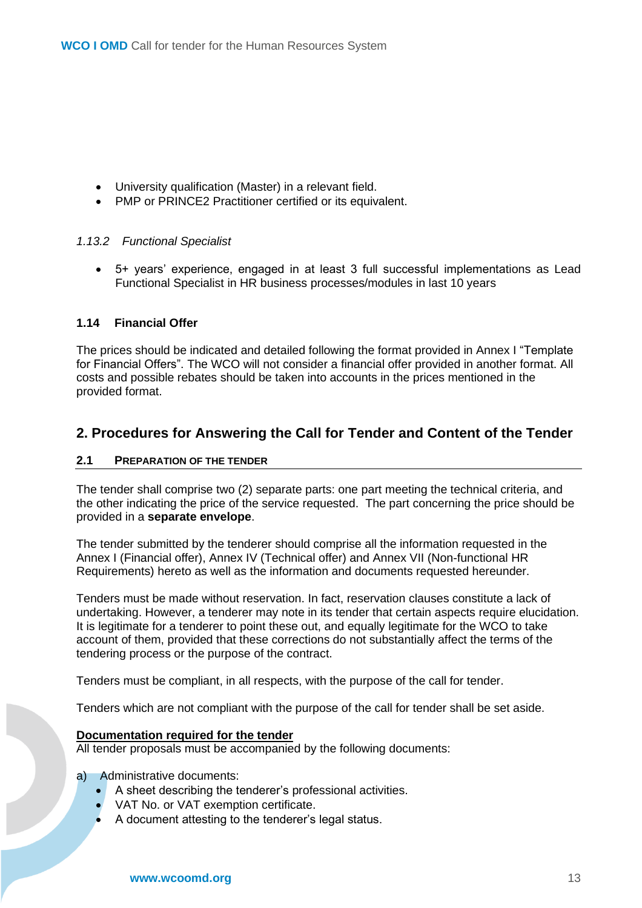- University qualification (Master) in a relevant field.
- PMP or PRINCE2 Practitioner certified or its equivalent.

#### <span id="page-12-0"></span>*1.13.2 Functional Specialist*

• 5+ years' experience, engaged in at least 3 full successful implementations as Lead Functional Specialist in HR business processes/modules in last 10 years

#### <span id="page-12-1"></span>**1.14 Financial Offer**

The prices should be indicated and detailed following the format provided in Annex I "Template for Financial Offers". The WCO will not consider a financial offer provided in another format. All costs and possible rebates should be taken into accounts in the prices mentioned in the provided format.

## <span id="page-12-2"></span>**2. Procedures for Answering the Call for Tender and Content of the Tender**

#### <span id="page-12-3"></span>**2.1 PREPARATION OF THE TENDER**

The tender shall comprise two (2) separate parts: one part meeting the technical criteria, and the other indicating the price of the service requested. The part concerning the price should be provided in a **separate envelope**.

The tender submitted by the tenderer should comprise all the information requested in the Annex I (Financial offer), Annex IV (Technical offer) and Annex VII (Non-functional HR Requirements) hereto as well as the information and documents requested hereunder.

Tenders must be made without reservation. In fact, reservation clauses constitute a lack of undertaking. However, a tenderer may note in its tender that certain aspects require elucidation. It is legitimate for a tenderer to point these out, and equally legitimate for the WCO to take account of them, provided that these corrections do not substantially affect the terms of the tendering process or the purpose of the contract.

Tenders must be compliant, in all respects, with the purpose of the call for tender.

Tenders which are not compliant with the purpose of the call for tender shall be set aside.

#### **Documentation required for the tender**

All tender proposals must be accompanied by the following documents:

a) Administrative documents:

- A sheet describing the tenderer's professional activities.
- VAT No. or VAT exemption certificate.
- A document attesting to the tenderer's legal status.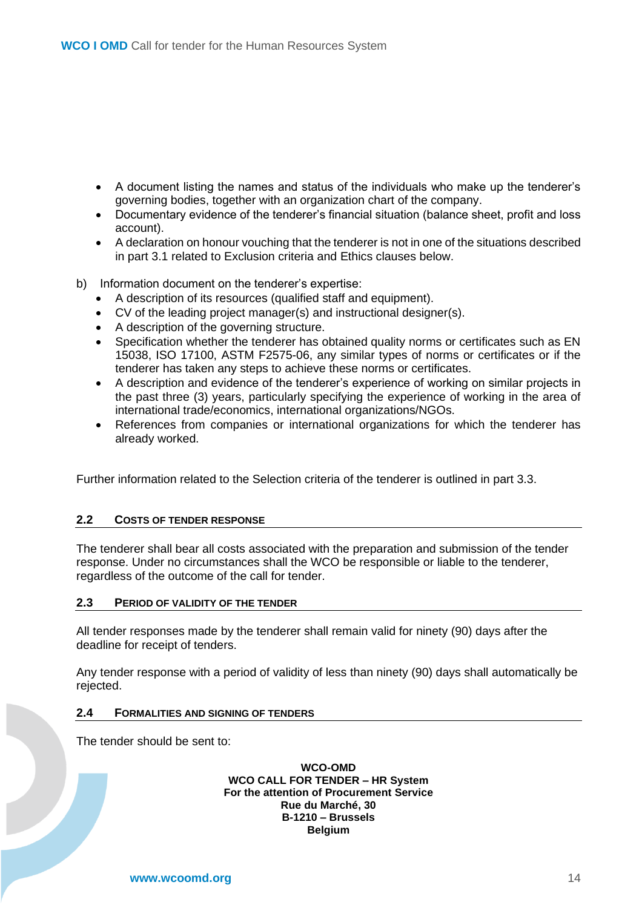- A document listing the names and status of the individuals who make up the tenderer's governing bodies, together with an organization chart of the company.
- Documentary evidence of the tenderer's financial situation (balance sheet, profit and loss account).
- A declaration on honour vouching that the tenderer is not in one of the situations described in part 3.1 related to Exclusion criteria and Ethics clauses below.
- b) Information document on the tenderer's expertise:
	- A description of its resources (qualified staff and equipment).
	- CV of the leading project manager(s) and instructional designer(s).
	- A description of the governing structure.
	- Specification whether the tenderer has obtained quality norms or certificates such as EN 15038, ISO 17100, ASTM F2575-06, any similar types of norms or certificates or if the tenderer has taken any steps to achieve these norms or certificates.
	- A description and evidence of the tenderer's experience of working on similar projects in the past three (3) years, particularly specifying the experience of working in the area of international trade/economics, international organizations/NGOs.
	- References from companies or international organizations for which the tenderer has already worked.

Further information related to the Selection criteria of the tenderer is outlined in part 3.3.

#### <span id="page-13-0"></span>**2.2 COSTS OF TENDER RESPONSE**

The tenderer shall bear all costs associated with the preparation and submission of the tender response. Under no circumstances shall the WCO be responsible or liable to the tenderer, regardless of the outcome of the call for tender.

#### <span id="page-13-1"></span>**2.3 PERIOD OF VALIDITY OF THE TENDER**

All tender responses made by the tenderer shall remain valid for ninety (90) days after the deadline for receipt of tenders.

Any tender response with a period of validity of less than ninety (90) days shall automatically be rejected.

#### <span id="page-13-2"></span>**2.4 FORMALITIES AND SIGNING OF TENDERS**

The tender should be sent to:

**WCO-OMD WCO CALL FOR TENDER – HR System For the attention of Procurement Service Rue du Marché, 30 B-1210 – Brussels Belgium**

**www.wcoomd.org** 14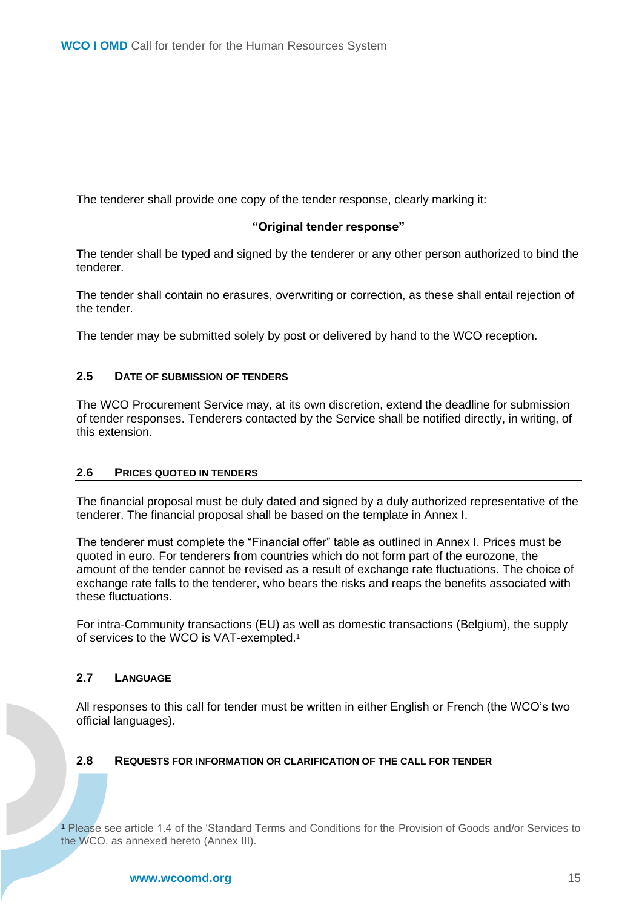The tenderer shall provide one copy of the tender response, clearly marking it:

#### **"Original tender response"**

The tender shall be typed and signed by the tenderer or any other person authorized to bind the tenderer.

The tender shall contain no erasures, overwriting or correction, as these shall entail rejection of the tender.

The tender may be submitted solely by post or delivered by hand to the WCO reception.

#### <span id="page-14-0"></span>**2.5 DATE OF SUBMISSION OF TENDERS**

The WCO Procurement Service may, at its own discretion, extend the deadline for submission of tender responses. Tenderers contacted by the Service shall be notified directly, in writing, of this extension.

#### <span id="page-14-1"></span>**2.6 PRICES QUOTED IN TENDERS**

The financial proposal must be duly dated and signed by a duly authorized representative of the tenderer. The financial proposal shall be based on the template in Annex I.

The tenderer must complete the "Financial offer" table as outlined in Annex I. Prices must be quoted in euro. For tenderers from countries which do not form part of the eurozone, the amount of the tender cannot be revised as a result of exchange rate fluctuations. The choice of exchange rate falls to the tenderer, who bears the risks and reaps the benefits associated with these fluctuations.

For intra-Community transactions (EU) as well as domestic transactions (Belgium), the supply of services to the WCO is VAT-exempted.<sup>1</sup>

#### <span id="page-14-2"></span>**2.7 LANGUAGE**

All responses to this call for tender must be written in either English or French (the WCO's two official languages).

#### <span id="page-14-3"></span>**2.8 REQUESTS FOR INFORMATION OR CLARIFICATION OF THE CALL FOR TENDER**

<sup>1</sup> Please see article 1.4 of the 'Standard Terms and Conditions for the Provision of Goods and/or Services to the WCO, as annexed hereto (Annex III).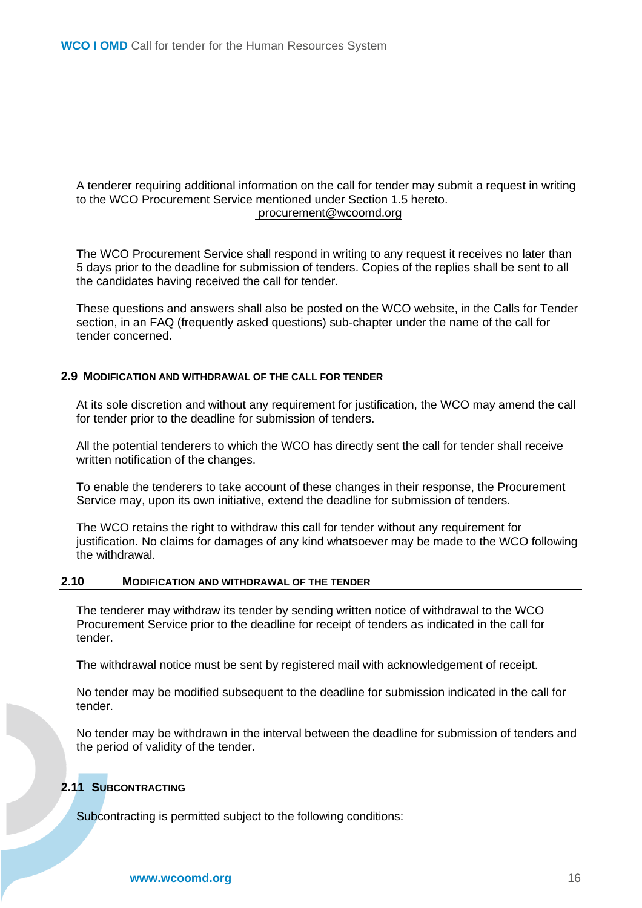#### A tenderer requiring additional information on the call for tender may submit a request in writing to the WCO Procurement Service mentioned under Section 1.5 hereto. procurement@wcoomd.org

The WCO Procurement Service shall respond in writing to any request it receives no later than 5 days prior to the deadline for submission of tenders. Copies of the replies shall be sent to all the candidates having received the call for tender.

These questions and answers shall also be posted on the WCO website, in the Calls for Tender section, in an FAQ (frequently asked questions) sub-chapter under the name of the call for tender concerned.

#### <span id="page-15-0"></span>**2.9 MODIFICATION AND WITHDRAWAL OF THE CALL FOR TENDER**

At its sole discretion and without any requirement for justification, the WCO may amend the call for tender prior to the deadline for submission of tenders.

All the potential tenderers to which the WCO has directly sent the call for tender shall receive written notification of the changes.

To enable the tenderers to take account of these changes in their response, the Procurement Service may, upon its own initiative, extend the deadline for submission of tenders.

The WCO retains the right to withdraw this call for tender without any requirement for justification. No claims for damages of any kind whatsoever may be made to the WCO following the withdrawal.

#### <span id="page-15-1"></span>**2.10 MODIFICATION AND WITHDRAWAL OF THE TENDER**

The tenderer may withdraw its tender by sending written notice of withdrawal to the WCO Procurement Service prior to the deadline for receipt of tenders as indicated in the call for tender.

The withdrawal notice must be sent by registered mail with acknowledgement of receipt.

No tender may be modified subsequent to the deadline for submission indicated in the call for tender.

No tender may be withdrawn in the interval between the deadline for submission of tenders and the period of validity of the tender.

#### <span id="page-15-2"></span>**2.11 SUBCONTRACTING**

Subcontracting is permitted subject to the following conditions: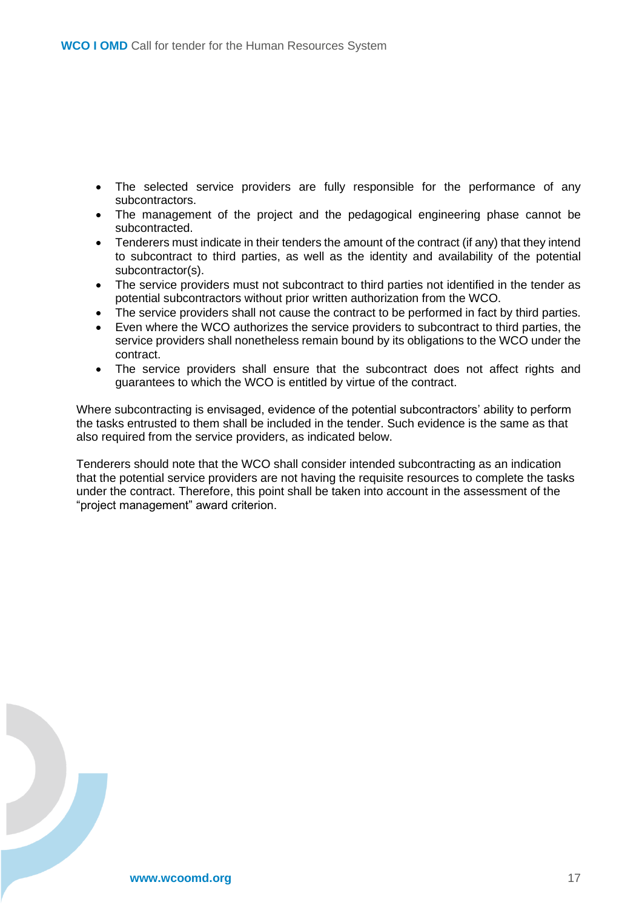- The selected service providers are fully responsible for the performance of any subcontractors.
- The management of the project and the pedagogical engineering phase cannot be subcontracted.
- Tenderers must indicate in their tenders the amount of the contract (if any) that they intend to subcontract to third parties, as well as the identity and availability of the potential subcontractor(s).
- The service providers must not subcontract to third parties not identified in the tender as potential subcontractors without prior written authorization from the WCO.
- The service providers shall not cause the contract to be performed in fact by third parties.
- Even where the WCO authorizes the service providers to subcontract to third parties, the service providers shall nonetheless remain bound by its obligations to the WCO under the contract.
- The service providers shall ensure that the subcontract does not affect rights and guarantees to which the WCO is entitled by virtue of the contract.

Where subcontracting is envisaged, evidence of the potential subcontractors' ability to perform the tasks entrusted to them shall be included in the tender. Such evidence is the same as that also required from the service providers, as indicated below.

Tenderers should note that the WCO shall consider intended subcontracting as an indication that the potential service providers are not having the requisite resources to complete the tasks under the contract. Therefore, this point shall be taken into account in the assessment of the "project management" award criterion.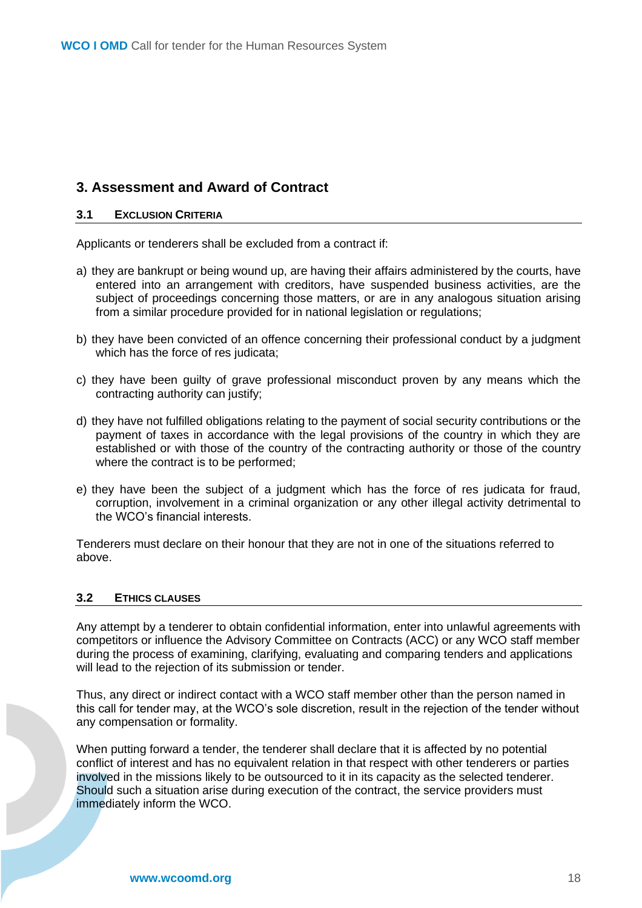## <span id="page-17-0"></span>**3. Assessment and Award of Contract**

#### <span id="page-17-1"></span>**3.1 EXCLUSION CRITERIA**

Applicants or tenderers shall be excluded from a contract if:

- a) they are bankrupt or being wound up, are having their affairs administered by the courts, have entered into an arrangement with creditors, have suspended business activities, are the subject of proceedings concerning those matters, or are in any analogous situation arising from a similar procedure provided for in national legislation or regulations;
- b) they have been convicted of an offence concerning their professional conduct by a judgment which has the force of res judicata;
- c) they have been guilty of grave professional misconduct proven by any means which the contracting authority can justify;
- d) they have not fulfilled obligations relating to the payment of social security contributions or the payment of taxes in accordance with the legal provisions of the country in which they are established or with those of the country of the contracting authority or those of the country where the contract is to be performed;
- e) they have been the subject of a judgment which has the force of res judicata for fraud, corruption, involvement in a criminal organization or any other illegal activity detrimental to the WCO's financial interests.

Tenderers must declare on their honour that they are not in one of the situations referred to above.

## <span id="page-17-2"></span>**3.2 ETHICS CLAUSES**

Any attempt by a tenderer to obtain confidential information, enter into unlawful agreements with competitors or influence the Advisory Committee on Contracts (ACC) or any WCO staff member during the process of examining, clarifying, evaluating and comparing tenders and applications will lead to the rejection of its submission or tender.

Thus, any direct or indirect contact with a WCO staff member other than the person named in this call for tender may, at the WCO's sole discretion, result in the rejection of the tender without any compensation or formality.

When putting forward a tender, the tenderer shall declare that it is affected by no potential conflict of interest and has no equivalent relation in that respect with other tenderers or parties involved in the missions likely to be outsourced to it in its capacity as the selected tenderer. Should such a situation arise during execution of the contract, the service providers must immediately inform the WCO.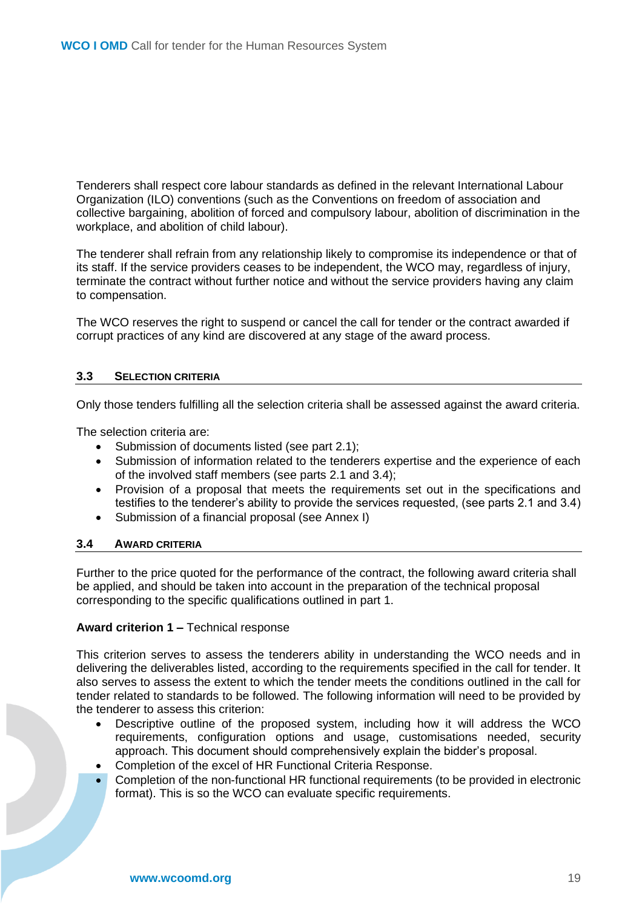Tenderers shall respect core labour standards as defined in the relevant International Labour Organization (ILO) conventions (such as the Conventions on freedom of association and collective bargaining, abolition of forced and compulsory labour, abolition of discrimination in the workplace, and abolition of child labour).

The tenderer shall refrain from any relationship likely to compromise its independence or that of its staff. If the service providers ceases to be independent, the WCO may, regardless of injury, terminate the contract without further notice and without the service providers having any claim to compensation.

The WCO reserves the right to suspend or cancel the call for tender or the contract awarded if corrupt practices of any kind are discovered at any stage of the award process.

#### <span id="page-18-0"></span>**3.3 SELECTION CRITERIA**

Only those tenders fulfilling all the selection criteria shall be assessed against the award criteria.

The selection criteria are:

- Submission of documents listed (see part 2.1);
- Submission of information related to the tenderers expertise and the experience of each of the involved staff members (see parts 2.1 and 3.4);
- Provision of a proposal that meets the requirements set out in the specifications and testifies to the tenderer's ability to provide the services requested, (see parts 2.1 and 3.4)
- Submission of a financial proposal (see Annex I)

#### <span id="page-18-1"></span>**3.4 AWARD CRITERIA**

Further to the price quoted for the performance of the contract, the following award criteria shall be applied, and should be taken into account in the preparation of the technical proposal corresponding to the specific qualifications outlined in part 1.

#### **Award criterion 1 –** Technical response

This criterion serves to assess the tenderers ability in understanding the WCO needs and in delivering the deliverables listed, according to the requirements specified in the call for tender. It also serves to assess the extent to which the tender meets the conditions outlined in the call for tender related to standards to be followed. The following information will need to be provided by the tenderer to assess this criterion:

- Descriptive outline of the proposed system, including how it will address the WCO requirements, configuration options and usage, customisations needed, security approach. This document should comprehensively explain the bidder's proposal.
- Completion of the excel of HR Functional Criteria Response.
- Completion of the non-functional HR functional requirements (to be provided in electronic format). This is so the WCO can evaluate specific requirements.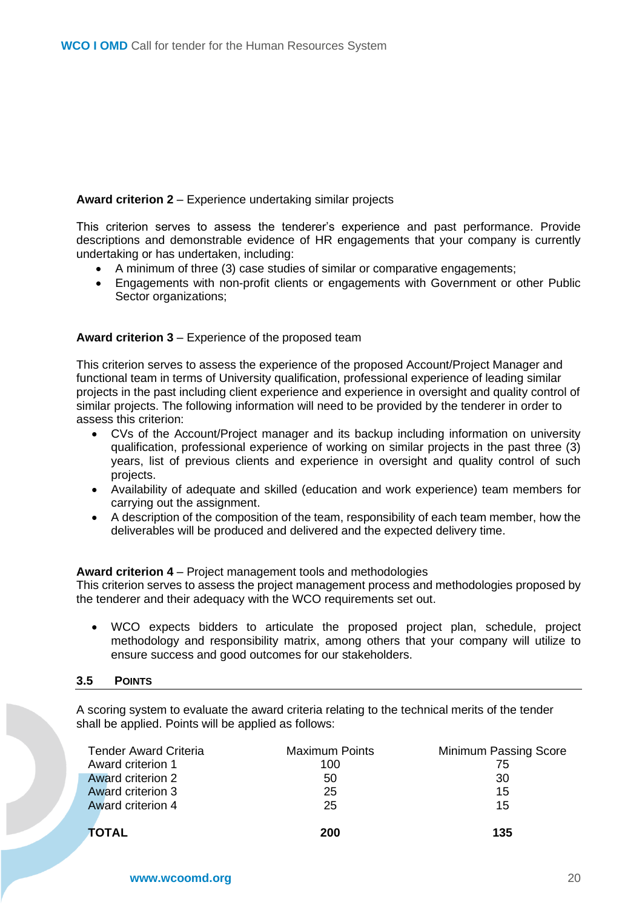### **Award criterion 2** – Experience undertaking similar projects

This criterion serves to assess the tenderer's experience and past performance. Provide descriptions and demonstrable evidence of HR engagements that your company is currently undertaking or has undertaken, including:

- A minimum of three (3) case studies of similar or comparative engagements;
- Engagements with non-profit clients or engagements with Government or other Public Sector organizations;

#### **Award criterion 3** – Experience of the proposed team

This criterion serves to assess the experience of the proposed Account/Project Manager and functional team in terms of University qualification, professional experience of leading similar projects in the past including client experience and experience in oversight and quality control of similar projects. The following information will need to be provided by the tenderer in order to assess this criterion:

- CVs of the Account/Project manager and its backup including information on university qualification, professional experience of working on similar projects in the past three (3) years, list of previous clients and experience in oversight and quality control of such projects.
- Availability of adequate and skilled (education and work experience) team members for carrying out the assignment.
- A description of the composition of the team, responsibility of each team member, how the deliverables will be produced and delivered and the expected delivery time.

#### **Award criterion 4** – Project management tools and methodologies

This criterion serves to assess the project management process and methodologies proposed by the tenderer and their adequacy with the WCO requirements set out.

• WCO expects bidders to articulate the proposed project plan, schedule, project methodology and responsibility matrix, among others that your company will utilize to ensure success and good outcomes for our stakeholders.

#### <span id="page-19-0"></span>**3.5 POINTS**

A scoring system to evaluate the award criteria relating to the technical merits of the tender shall be applied. Points will be applied as follows:

| <b>Tender Award Criteria</b> | <b>Maximum Points</b> | Minimum Passing Score |
|------------------------------|-----------------------|-----------------------|
| Award criterion 1            | 100                   | 75                    |
| Award criterion 2            | 50                    | 30                    |
| Award criterion 3            | 25                    | 15                    |
| Award criterion 4            | 25                    | 15                    |
| <b>TOTAL</b>                 | 200                   | 135                   |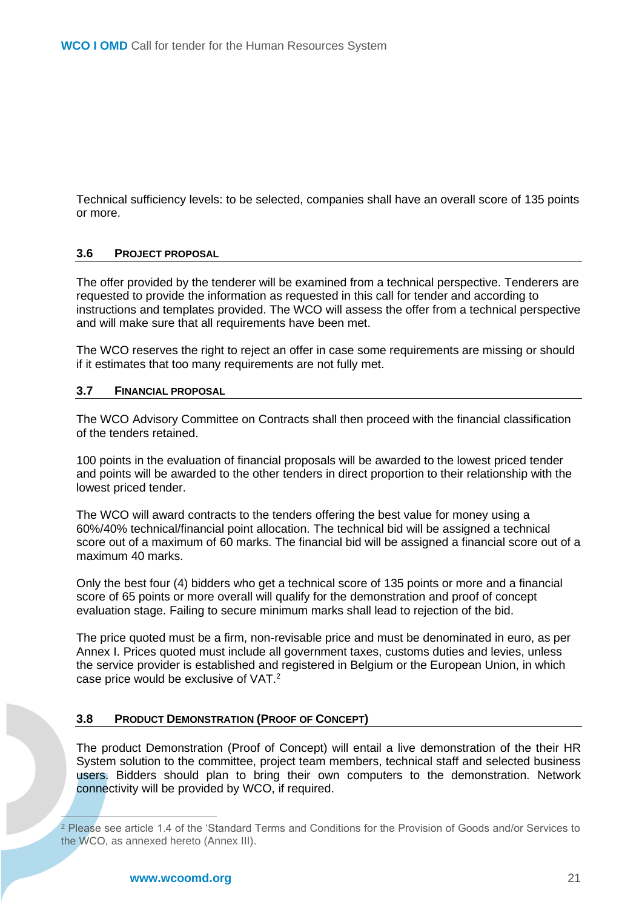Technical sufficiency levels: to be selected, companies shall have an overall score of 135 points or more.

#### <span id="page-20-0"></span>**3.6 PROJECT PROPOSAL**

The offer provided by the tenderer will be examined from a technical perspective. Tenderers are requested to provide the information as requested in this call for tender and according to instructions and templates provided. The WCO will assess the offer from a technical perspective and will make sure that all requirements have been met.

The WCO reserves the right to reject an offer in case some requirements are missing or should if it estimates that too many requirements are not fully met.

#### <span id="page-20-1"></span>**3.7 FINANCIAL PROPOSAL**

The WCO Advisory Committee on Contracts shall then proceed with the financial classification of the tenders retained.

100 points in the evaluation of financial proposals will be awarded to the lowest priced tender and points will be awarded to the other tenders in direct proportion to their relationship with the lowest priced tender.

The WCO will award contracts to the tenders offering the best value for money using a 60%/40% technical/financial point allocation. The technical bid will be assigned a technical score out of a maximum of 60 marks. The financial bid will be assigned a financial score out of a maximum 40 marks.

Only the best four (4) bidders who get a technical score of 135 points or more and a financial score of 65 points or more overall will qualify for the demonstration and proof of concept evaluation stage. Failing to secure minimum marks shall lead to rejection of the bid.

The price quoted must be a firm, non-revisable price and must be denominated in euro, as per Annex I. Prices quoted must include all government taxes, customs duties and levies, unless the service provider is established and registered in Belgium or the European Union, in which case price would be exclusive of VAT. 2

#### **3.8 PRODUCT DEMONSTRATION (PROOF OF CONCEPT)**

The product Demonstration (Proof of Concept) will entail a live demonstration of the their HR System solution to the committee, project team members, technical staff and selected business users. Bidders should plan to bring their own computers to the demonstration. Network connectivity will be provided by WCO, if required.

<sup>2</sup> Please see article 1.4 of the 'Standard Terms and Conditions for the Provision of Goods and/or Services to the WCO, as annexed hereto (Annex III).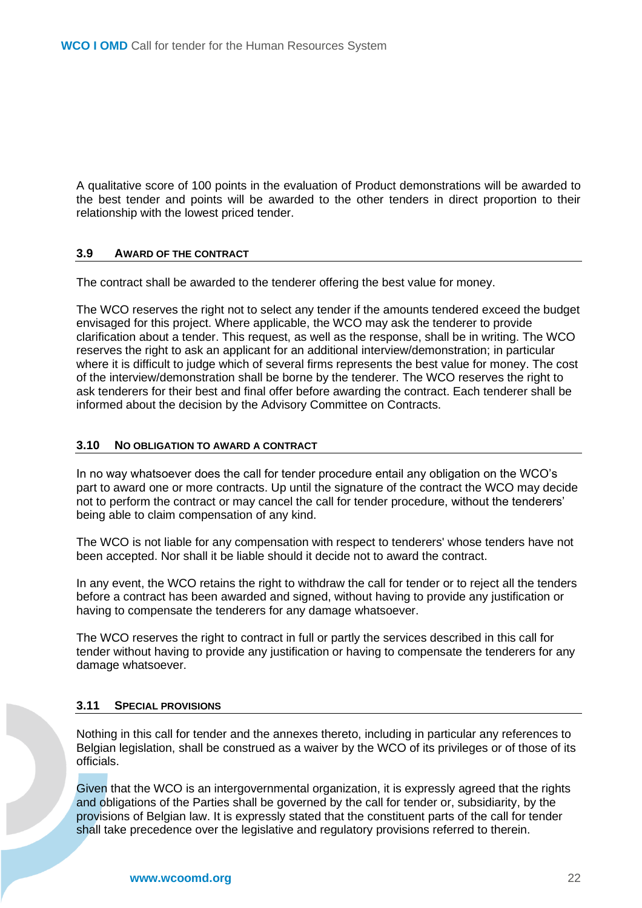A qualitative score of 100 points in the evaluation of Product demonstrations will be awarded to the best tender and points will be awarded to the other tenders in direct proportion to their relationship with the lowest priced tender.

#### <span id="page-21-0"></span>**3.9 AWARD OF THE CONTRACT**

The contract shall be awarded to the tenderer offering the best value for money.

The WCO reserves the right not to select any tender if the amounts tendered exceed the budget envisaged for this project. Where applicable, the WCO may ask the tenderer to provide clarification about a tender. This request, as well as the response, shall be in writing. The WCO reserves the right to ask an applicant for an additional interview/demonstration; in particular where it is difficult to judge which of several firms represents the best value for money. The cost of the interview/demonstration shall be borne by the tenderer. The WCO reserves the right to ask tenderers for their best and final offer before awarding the contract. Each tenderer shall be informed about the decision by the Advisory Committee on Contracts.

#### <span id="page-21-1"></span>**3.10 NO OBLIGATION TO AWARD A CONTRACT**

In no way whatsoever does the call for tender procedure entail any obligation on the WCO's part to award one or more contracts. Up until the signature of the contract the WCO may decide not to perform the contract or may cancel the call for tender procedure, without the tenderers' being able to claim compensation of any kind.

The WCO is not liable for any compensation with respect to tenderers' whose tenders have not been accepted. Nor shall it be liable should it decide not to award the contract.

In any event, the WCO retains the right to withdraw the call for tender or to reject all the tenders before a contract has been awarded and signed, without having to provide any justification or having to compensate the tenderers for any damage whatsoever.

The WCO reserves the right to contract in full or partly the services described in this call for tender without having to provide any justification or having to compensate the tenderers for any damage whatsoever.

#### <span id="page-21-2"></span>**3.11 SPECIAL PROVISIONS**

Nothing in this call for tender and the annexes thereto, including in particular any references to Belgian legislation, shall be construed as a waiver by the WCO of its privileges or of those of its officials.

Given that the WCO is an intergovernmental organization, it is expressly agreed that the rights and obligations of the Parties shall be governed by the call for tender or, subsidiarity, by the provisions of Belgian law. It is expressly stated that the constituent parts of the call for tender shall take precedence over the legislative and regulatory provisions referred to therein.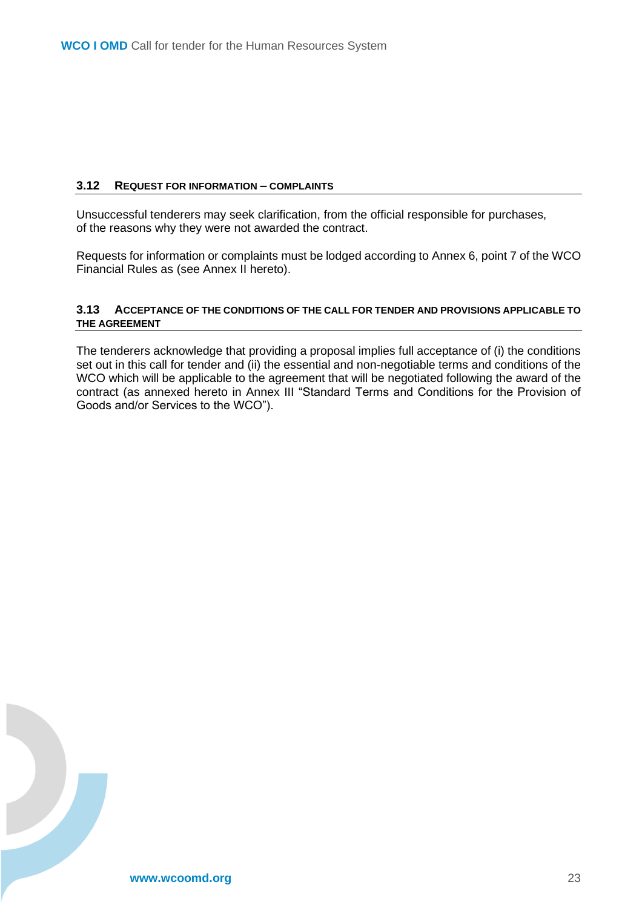#### <span id="page-22-0"></span>**3.12 REQUEST FOR INFORMATION – COMPLAINTS**

Unsuccessful tenderers may seek clarification, from the official responsible for purchases, of the reasons why they were not awarded the contract.

Requests for information or complaints must be lodged according to Annex 6, point 7 of the WCO Financial Rules as (see Annex II hereto).

#### <span id="page-22-1"></span>**3.13 ACCEPTANCE OF THE CONDITIONS OF THE CALL FOR TENDER AND PROVISIONS APPLICABLE TO THE AGREEMENT**

The tenderers acknowledge that providing a proposal implies full acceptance of (i) the conditions set out in this call for tender and (ii) the essential and non-negotiable terms and conditions of the WCO which will be applicable to the agreement that will be negotiated following the award of the contract (as annexed hereto in Annex III "Standard Terms and Conditions for the Provision of Goods and/or Services to the WCO").